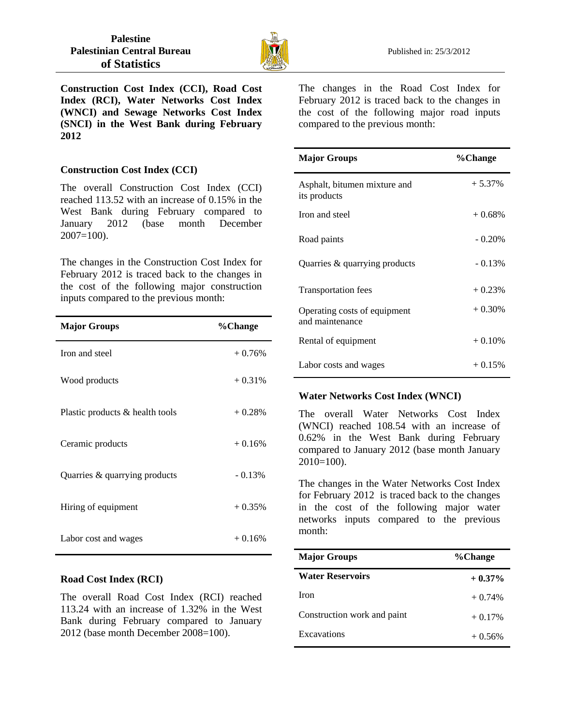

**Construction Cost Index (CCI), Road Cost Index (RCI), Water Networks Cost Index (WNCI) and Sewage Networks Cost Index (SNCI) in the West Bank during February 2012** 

# **Construction Cost Index (CCI)**

The overall Construction Cost Index (CCI) reached 113.52 with an increase of 0.15% in the West Bank during February compared to January 2012 (base month December  $2007=100$ ).

The changes in the Construction Cost Index for February 2012 is traced back to the changes in the cost of the following major construction inputs compared to the previous month:

| <b>Major Groups</b>             | %Change  |
|---------------------------------|----------|
| Iron and steel                  | $+0.76%$ |
| Wood products                   | $+0.31%$ |
| Plastic products & health tools | $+0.28%$ |
| Ceramic products                | $+0.16%$ |
| Quarries & quarrying products   | $-0.13%$ |
| Hiring of equipment             | $+0.35%$ |
| Labor cost and wages            | $+0.16%$ |

# **Road Cost Index (RCI)**

The overall Road Cost Index (RCI) reached 113.24 with an increase of 1.32% in the West Bank during February compared to January 2012 (base month December 2008=100).

The changes in the Road Cost Index for February 2012 is traced back to the changes in the cost of the following major road inputs compared to the previous month:

| <b>Major Groups</b>                             | %Change   |
|-------------------------------------------------|-----------|
| Asphalt, bitumen mixture and<br>its products    | $+5.37%$  |
| Iron and steel                                  | $+0.68\%$ |
| Road paints                                     | $-0.20%$  |
| Quarries & quarrying products                   | $-0.13%$  |
| <b>Transportation fees</b>                      | $+0.23%$  |
| Operating costs of equipment<br>and maintenance | $+0.30%$  |
| Rental of equipment                             | $+0.10%$  |
| Labor costs and wages                           | $+0.15%$  |

### **Water Networks Cost Index (WNCI)**

The overall Water Networks Cost Index (WNCI) reached 108.54 with an increase of 0.62% in the West Bank during February compared to January 2012 (base month January  $2010=100$ ).

The changes in the Water Networks Cost Index for February 2012 is traced back to the changes in the cost of the following major water networks inputs compared to the previous month:

| <b>Major Groups</b>         | %Change   |
|-----------------------------|-----------|
| <b>Water Reservoirs</b>     | $+0.37\%$ |
| <b>Iron</b>                 | $+0.74%$  |
| Construction work and paint | $+0.17%$  |
| Excavations                 | $+0.56%$  |